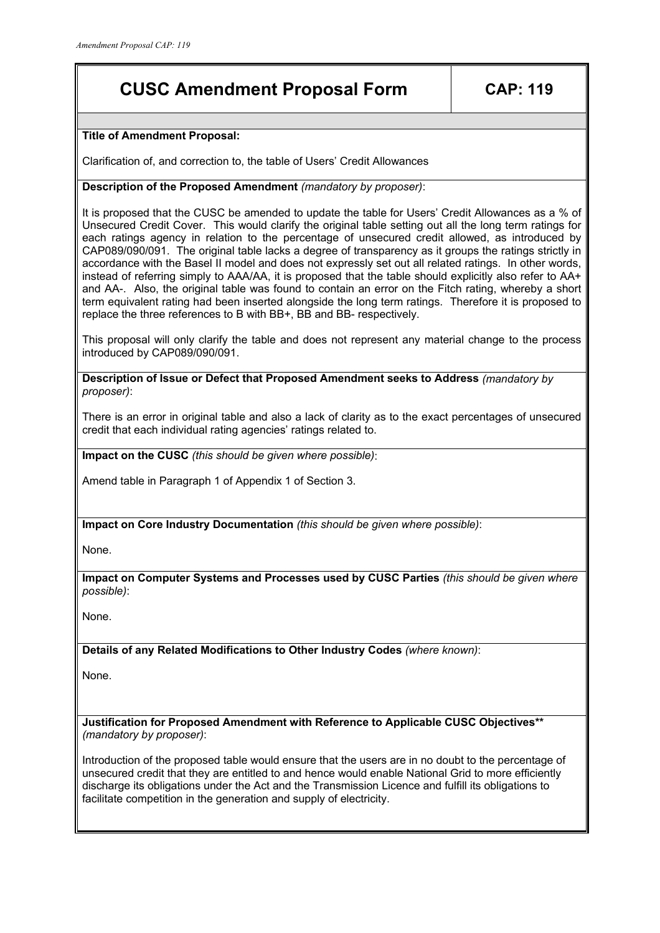## **CUSC Amendment Proposal Form CAP: 119**

**Title of Amendment Proposal:** 

Clarification of, and correction to, the table of Users' Credit Allowances

## **Description of the Proposed Amendment** *(mandatory by proposer)*:

It is proposed that the CUSC be amended to update the table for Users' Credit Allowances as a % of Unsecured Credit Cover. This would clarify the original table setting out all the long term ratings for each ratings agency in relation to the percentage of unsecured credit allowed, as introduced by CAP089/090/091. The original table lacks a degree of transparency as it groups the ratings strictly in accordance with the Basel II model and does not expressly set out all related ratings. In other words, instead of referring simply to AAA/AA, it is proposed that the table should explicitly also refer to AA+ and AA-. Also, the original table was found to contain an error on the Fitch rating, whereby a short term equivalent rating had been inserted alongside the long term ratings. Therefore it is proposed to replace the three references to B with BB+, BB and BB- respectively.

This proposal will only clarify the table and does not represent any material change to the process introduced by CAP089/090/091.

**Description of Issue or Defect that Proposed Amendment seeks to Address** *(mandatory by proposer)*:

There is an error in original table and also a lack of clarity as to the exact percentages of unsecured credit that each individual rating agencies' ratings related to.

**Impact on the CUSC** *(this should be given where possible)*:

Amend table in Paragraph 1 of Appendix 1 of Section 3.

**Impact on Core Industry Documentation** *(this should be given where possible)*:

None.

**Impact on Computer Systems and Processes used by CUSC Parties** *(this should be given where possible)*:

None.

**Details of any Related Modifications to Other Industry Codes** *(where known)*:

None.

**Justification for Proposed Amendment with Reference to Applicable CUSC Objectives\*\***  *(mandatory by proposer)*:

Introduction of the proposed table would ensure that the users are in no doubt to the percentage of unsecured credit that they are entitled to and hence would enable National Grid to more efficiently discharge its obligations under the Act and the Transmission Licence and fulfill its obligations to facilitate competition in the generation and supply of electricity.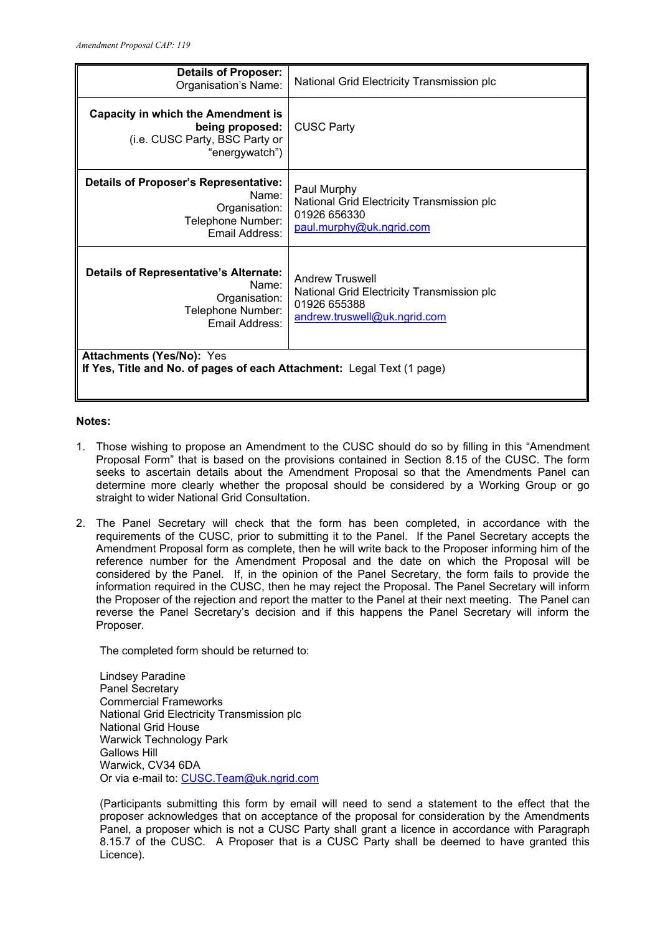| <b>Details of Proposer:</b><br>Organisation's Name:                                                              | National Grid Electricity Transmission plc                                                                           |  |  |
|------------------------------------------------------------------------------------------------------------------|----------------------------------------------------------------------------------------------------------------------|--|--|
| <b>Capacity in which the Amendment is</b><br>being proposed:<br>(i.e. CUSC Party, BSC Party or<br>"energywatch") | <b>CUSC Party</b>                                                                                                    |  |  |
| <b>Details of Proposer's Representative:</b><br>Name:<br>Organisation:<br>Telephone Number:<br>Email Address:    | Paul Murphy<br>National Grid Electricity Transmission plc<br>01926 656330<br>paul.murphy@uk.ngrid.com                |  |  |
| <b>Details of Representative's Alternate:</b><br>Name:<br>Organisation:<br>Telephone Number:<br>Email Address:   | <b>Andrew Truswell</b><br>National Grid Electricity Transmission plc<br>01926 655388<br>andrew.truswell@uk.ngrid.com |  |  |
| <b>Attachments (Yes/No): Yes</b><br>If Yes, Title and No. of pages of each Attachment: Legal Text (1 page)       |                                                                                                                      |  |  |

## **Notes:**

- 1. Those wishing to propose an Amendment to the CUSC should do so by filling in this "Amendment Proposal Form" that is based on the provisions contained in Section 8.15 of the CUSC. The form seeks to ascertain details about the Amendment Proposal so that the Amendments Panel can determine more clearly whether the proposal should be considered by a Working Group or go straight to wider National Grid Consultation.
- 2. The Panel Secretary will check that the form has been completed, in accordance with the requirements of the CUSC, prior to submitting it to the Panel. If the Panel Secretary accepts the Amendment Proposal form as complete, then he will write back to the Proposer informing him of the reference number for the Amendment Proposal and the date on which the Proposal will be considered by the Panel. If, in the opinion of the Panel Secretary, the form fails to provide the information required in the CUSC, then he may reject the Proposal. The Panel Secretary will inform the Proposer of the rejection and report the matter to the Panel at their next meeting. The Panel can reverse the Panel Secretary's decision and if this happens the Panel Secretary will inform the Proposer.

The completed form should be returned to:

Lindsey Paradine Panel Secretary Commercial Frameworks National Grid Electricity Transmission plc National Grid House Warwick Technology Park Gallows Hill Warwick, CV34 6DA Or via e-mail to: CUSC.Team@uk.ngrid.com

(Participants submitting this form by email will need to send a statement to the effect that the proposer acknowledges that on acceptance of the proposal for consideration by the Amendments Panel, a proposer which is not a CUSC Party shall grant a licence in accordance with Paragraph 8.15.7 of the CUSC. A Proposer that is a CUSC Party shall be deemed to have granted this Licence).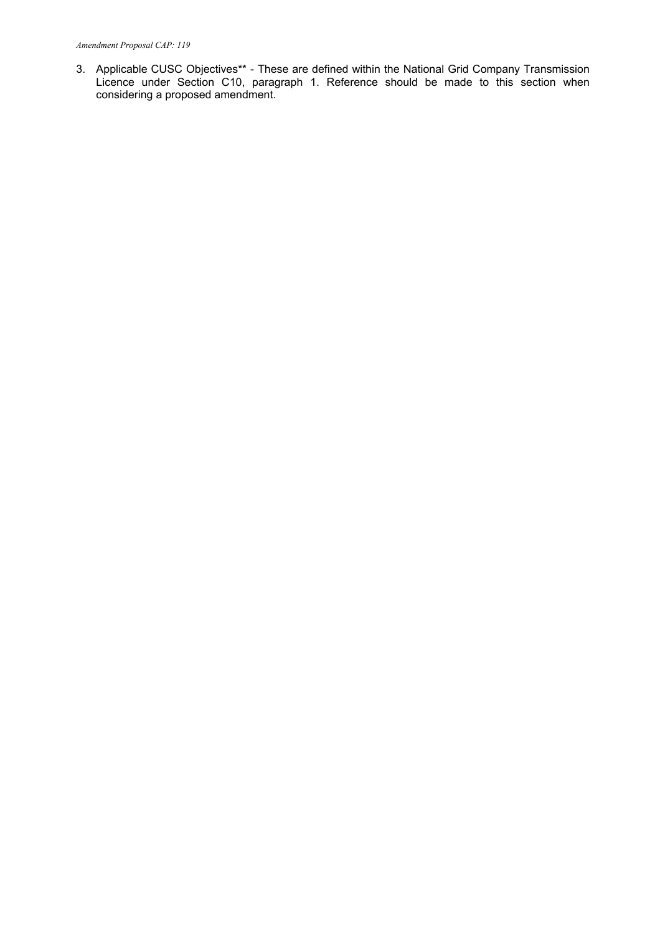3. Applicable CUSC Objectives\*\* - These are defined within the National Grid Company Transmission Licence under Section C10, paragraph 1. Reference should be made to this section when considering a proposed amendment.